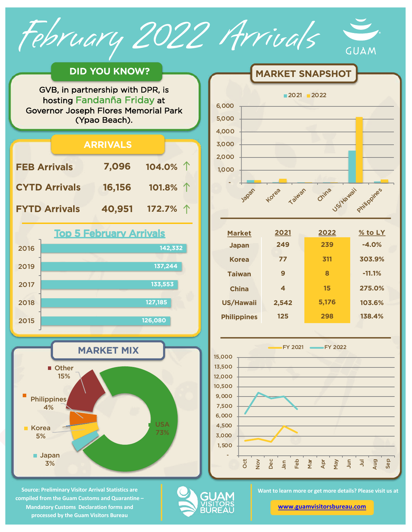February 2022 Arrivals



## **DID YOU KNOW?**

GVB, in partnership with DPR, is hosting Fandanña Friday at Governor Joseph Flores Memorial Park (Ypao Beach).





**MARKET SNAPSHOT** 

| <b>Market</b>      | 2021  | 2022  | $\%$ to LY |
|--------------------|-------|-------|------------|
| <b>Japan</b>       | 249   | 239   | $-4.0%$    |
| <b>Korea</b>       | 77    | 311   | 303.9%     |
| <b>Taiwan</b>      | 9     | 8     | $-11.1%$   |
| <b>China</b>       | 4     | 15    | 275.0%     |
| <b>US/Hawaii</b>   | 2,542 | 5,176 | 103.6%     |
| <b>Philippines</b> | 125   | 298   | 138.4%     |
|                    |       |       |            |



**Source: Preliminary Visitor Arrival Statistics are compiled from the Guam Customs and Quarantine – Mandatory Customs Declaration forms and processed by the Guam Visitors Bureau** 

**Japan** 3%

**Philippines** 4%

Korea 5%



USA 73%

**Want to learn more or get more details? Please visit us at** 

**[www.guamvisitorsbureau.co](https://www.guamvisitorsbureau.com/research-and-reports/research)m**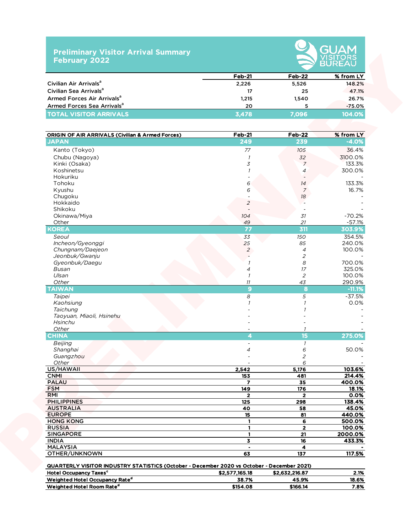## **Preliminary Visitor Arrival Summary February 2022**



|                                        | <b>Feb-21</b> | Feb-22 | % from LY |
|----------------------------------------|---------------|--------|-----------|
| Civilian Air Arrivals <sup>a</sup>     | 2,226         | 5,526  | 148.2%    |
| Civilian Sea Arrivals <sup>a</sup>     | 17            | -25    | 47.1%     |
| Armed Forces Air Arrivals <sup>a</sup> | 1.215         | 1.540  | 26.7%     |
| Armed Forces Sea Arrivals <sup>a</sup> | 20            |        | $-75.0\%$ |
| <b>TOTAL VISITOR ARRIVALS</b>          | 3.478         | 7.096  | 104.0%    |

|                                                                                            | $Feb-21$                 | Feb-22           | % from LY          |
|--------------------------------------------------------------------------------------------|--------------------------|------------------|--------------------|
| Civilian Air Arrivals <sup>a</sup>                                                         | 2,226                    | 5,526            | 148.2%             |
| Civilian Sea Arrivals <sup>a</sup>                                                         | 17                       | 25               | 47.1%              |
| Armed Forces Air Arrivals <sup>a</sup>                                                     | 1,215                    | 1,540            | 26.7%              |
| Armed Forces Sea Arrivals <sup>a</sup>                                                     | 20                       |                  |                    |
| <b>TOTAL VISITOR ARRIVALS</b>                                                              | 3,478                    | 5<br>7,096       | $-75.0%$<br>104.0% |
|                                                                                            |                          |                  |                    |
| <b>ORIGIN OF AIR ARRIVALS (Civilian &amp; Armed Forces)</b>                                | <b>Feb-21</b>            | <b>Feb-22</b>    | % from LY          |
| <b>JAPAN</b>                                                                               | 249                      | 239              | $-4.0%$            |
| Kanto (Tokyo)                                                                              | 77                       | 105              | 36.4%              |
| Chubu (Nagoya)                                                                             | $\overline{1}$           | 32               | 3100.0%            |
| Kinki (Osaka)                                                                              | 3                        | $\overline{7}$   | 133.3%             |
| Koshinetsu                                                                                 |                          | $\overline{4}$   | 300.0%             |
| Hokuriku                                                                                   |                          |                  |                    |
| Tohoku                                                                                     | 6                        | 14               | 133.3%             |
| Kyushu                                                                                     | 6                        | $\overline{7}$   | 16.7%              |
| Chugoku                                                                                    |                          | $18\,$           |                    |
| Hokkaido                                                                                   | $\overline{c}$           |                  |                    |
| Shikoku                                                                                    |                          |                  |                    |
| Okinawa/Miya                                                                               | 104                      | 31               | $-70.2%$           |
| Other                                                                                      | 49                       | 21               | $-57.1%$           |
| <b>KOREA</b>                                                                               | 77                       | 311              | 303.9%             |
| Seoul                                                                                      | 33                       | 150              | 354.5%             |
| Incheon/Gyeonggi                                                                           | 25                       | 85               | 240.0%             |
| Chungnam/Daejeon                                                                           | $\overline{a}$           | $\overline{4}$   | 100.0%             |
| Jeonbuk/Gwanju                                                                             |                          | 2                |                    |
| Gyeonbuk/Daegu                                                                             |                          | $\boldsymbol{s}$ | 700.0%             |
| Busan                                                                                      | $\overline{4}$           | 17               | 325.0%             |
| Ulsan                                                                                      | $\overline{\phantom{a}}$ | $\overline{2}$   | 100.0%             |
| Other                                                                                      | 11                       | 43               | 290.9%             |
| <b>TAIWAN</b>                                                                              | $\boldsymbol{9}$         | 8                | $-11.1%$           |
|                                                                                            |                          |                  |                    |
| Taipei                                                                                     | 8                        | 5                | $-37.5%$           |
| Kaohsiung                                                                                  |                          |                  | 0.0%               |
| Taichung                                                                                   |                          |                  |                    |
| Taoyuan, Miaoli, Hsinehu                                                                   |                          |                  |                    |
| Hsinchu                                                                                    |                          |                  |                    |
| Other                                                                                      |                          |                  |                    |
| <b>CHINA</b>                                                                               | 4                        | 15               | 275.0%             |
| Beijing                                                                                    |                          | $\mathcal{I}$    |                    |
| Shanghai                                                                                   | $\overline{a}$           | 6                | 50.0%              |
| Guangzhou                                                                                  |                          | 2                |                    |
| Other                                                                                      |                          | 6                |                    |
| US/HAWAII                                                                                  | 2,542                    | 5,176            | 103.6%             |
| <b>CNMI</b>                                                                                | 153                      | 481              | 214.4%             |
| <b>PALAU</b>                                                                               | $\overline{\mathbf{z}}$  | 35               | 400.0%             |
| <b>FSM</b>                                                                                 | 149                      | 176              | 18.1%              |
| RMI                                                                                        | $\overline{2}$           | $\overline{2}$   | 0.0%               |
| <b>PHILIPPINES</b>                                                                         | 125                      | 298              | 138.4%             |
| <b>AUSTRALIA</b>                                                                           | 40                       | 58               | 45.0%              |
| <b>EUROPE</b>                                                                              | 15 <sub>15</sub>         | 81               | 440.0%             |
| <b>HONG KONG</b>                                                                           | $\mathbf{1}$             | 6                | 500.0%             |
| <b>RUSSIA</b>                                                                              | 1                        | $\mathbf{2}$     | 100.0%             |
| <b>SINGAPORE</b>                                                                           | 1                        | 21               | 2000.0%            |
| <b>INDIA</b>                                                                               | 3                        | ${\bf 16}$       | 433.3%             |
| <b>MALAYSIA</b>                                                                            | $\bullet$                | 4                |                    |
| OTHER/UNKNOWN                                                                              | 63                       | 137              | 117.5%             |
| QUARTERLY VISITOR INDUSTRY STATISTICS (October - December 2020 vs October - December 2021) |                          |                  |                    |
| <b>Hotel Occupancy Taxes<sup>c</sup></b>                                                   | \$2,577,165.18           | \$2,632,216.87   | 2.1%               |
| Weighted Hotel Occupancy Rate <sup>d</sup>                                                 | 38.7%                    | 45.9%            | 18.6%              |

Weighted Hotel Room Rate<sup>d</sup> 5154.08 \$166.14 7.8%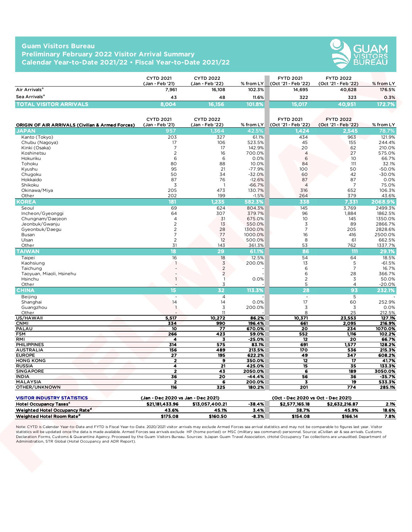## **Guam Visitors Bureau Preliminary February 2022 Visitor Arrival Summary Calendar Year-to-Date 2021/22 • Fiscal Year-to-Date 2021/22**



|                               | <b>CYTD 2021</b><br>(Jan - Feb '21) | <b>CYTD 2022</b><br>(Jan - Feb '22) | $%$ from LY | <b>FYTD 2021</b><br>(Oct '21 - Feb '22) | <b>FYTD 2022</b><br>(Oct '21 - Feb '22) | $%$ from LY |
|-------------------------------|-------------------------------------|-------------------------------------|-------------|-----------------------------------------|-----------------------------------------|-------------|
| Air Arrivals <sup>a</sup>     | 7,961                               | 16,108                              | 102.3%      | 14.695                                  | 40.628                                  | 176.5%      |
| Sea Arrivals <sup>a</sup>     | 43                                  | 48                                  | 11.6%       | 322                                     | 323                                     | 0.3%        |
| <b>TOTAL VISITOR ARRIVALS</b> | 8.004                               | 16.1561                             | 101.8%      | 15.017                                  | 40,951                                  | 172.7%\     |

|                                                                      | <b>CYTD 2021</b>                   | <b>CYTD 2022</b>                 |                         | <b>FYTD 2021</b>                   | <b>FYTD 2022</b>              |                      |
|----------------------------------------------------------------------|------------------------------------|----------------------------------|-------------------------|------------------------------------|-------------------------------|----------------------|
| Air Arrivals <sup>a</sup>                                            | (Jan - Feb '21)<br>7,961           | (Jan - Feb '22)<br>16,108        | % from LY<br>102.3%     | (Oct '21 - Feb '22)<br>14,695      | (Oct '21 - Feb '22)<br>40,628 | % from LY<br>176.5%  |
| Sea Arrivals <sup>a</sup>                                            |                                    |                                  |                         |                                    |                               |                      |
|                                                                      | 43                                 | 48                               | 11.6%                   | 322                                | 323                           | 0.3%                 |
| <b>TOTAL VISITOR ARRIVALS</b>                                        | 8,004                              | 16,156                           | 101.8%                  | 15,017                             | 40,951                        | 172.7%               |
|                                                                      |                                    |                                  |                         |                                    |                               |                      |
|                                                                      | <b>CYTD 2021</b>                   | <b>CYTD 2022</b>                 |                         | <b>FYTD 2021</b>                   | <b>FYTD 2022</b>              |                      |
| <b>ORIGIN OF AIR ARRIVALS (Civilian &amp; Armed Forces)</b><br>JAPAN | (Jan - Feb '21)<br>957             | (Jan - Feb '22)<br>.364          | % from $LY$<br>$42.5\%$ | (Oct '21 - Feb '22)<br>.424        | (Oct '21 - Feb '22)<br>2,545  | % from LY<br>78.7%   |
| Kanto (Tokyo)                                                        | 203                                | 327                              | 61.1%                   | 434                                | 963                           | 121.9%               |
| Chubu (Nagoya)                                                       | 17                                 | 106                              | 523.5%                  | 45                                 | 155                           | 244.4%               |
| Kinki (Osaka)                                                        | $\overline{7}$                     | 17                               | 142.9%                  | 20                                 | 62                            | 210.0%               |
| Koshinetsu                                                           | $\overline{2}$                     | 16                               | 700.0%                  | $\overline{4}$                     | 27                            | 575.0%               |
| Hokuriku                                                             | 6                                  | 6                                | 0.0%                    | 6                                  | 10                            | 66.7%                |
| Tohoku                                                               | 80                                 | 88                               | 10.0%                   | 84                                 | 111                           | 32.1%                |
| Kyushu<br>Chugoku                                                    | 95<br>50                           | 21<br>34                         | $-77.9%$<br>$-32.0%$    | 100<br>60                          | 50<br>42                      | $-50.0%$<br>$-30.0%$ |
| Hokkaido                                                             | 87                                 | 76                               | $-12.6%$                | 87                                 | 87                            | 0.0%                 |
| Shikoku                                                              | 3                                  | $\overline{\phantom{0}}$         | $-66.7%$                | $\overline{4}$                     | $\overline{7}$                | 75.0%                |
| Okinawa/Miya                                                         | 205                                | 473                              | 130.7%                  | 316                                | 652                           | 106.3%               |
| Other                                                                | 202                                | 199                              | $-1.5%$                 | 264                                | 379                           | 43.6%                |
| <b>KOREA</b>                                                         | 181                                | 1,235                            | 582.3%                  | 338                                | 7,331                         | 2068.9%              |
| Seoul                                                                | 69                                 | 624                              | 804.3%                  | 145                                | 3,769                         | 2499.3%              |
| Incheon/Gyeonggi                                                     | 64                                 | 307                              | 379.7%                  | 96                                 | 1,884                         | 1862.5%              |
| Chungnam/Daejeon<br>Jeonbuk/Gwanju                                   | $\overline{4}$<br>$\overline{c}$   | 31<br>13                         | 675.0%<br>550.0%        | 10<br>3                            | 145<br>89                     | 1350.0%<br>2866.7%   |
| Gyeonbuk/Daegu                                                       | $\overline{c}$                     | 28                               | 1300.0%                 | $\overline{7}$                     | 205                           | 2828.6%              |
| Busan                                                                | $\overline{7}$                     | 77                               | 1000.0%                 | 16                                 | 416                           | 2500.0%              |
| Ulsan                                                                | $\overline{2}$                     | 12                               | 500.0%                  | 8                                  | 61                            | 662.5%               |
| Other                                                                | 31                                 | 143                              | 361.3%                  | 53                                 | 762                           | 1337.7%              |
| <b>TAIWAN</b>                                                        | 18                                 | 29                               | 61.1%                   | 86                                 | 111                           | 29.1%                |
| Taipei                                                               | 16                                 | 18                               | 12.5%                   | 54                                 | 64                            | 18.5%                |
| Kaohsiung                                                            | $\overline{1}$                     | $\overline{3}$                   | 200.0%                  | 13                                 | 5                             | $-61.5%$             |
| Taichung<br>Taoyuan, Miaoli, Hsinehu                                 |                                    | $\overline{2}$<br>$\overline{2}$ |                         | 6<br>6                             | $\overline{7}$<br>28          | 16.7%<br>366.7%      |
| Hsinchu                                                              | $\overline{1}$                     | $\mathbf{1}$                     | 0.0%                    | $\overline{c}$                     | 3                             | 50.0%                |
| Other                                                                |                                    | 3                                |                         | 5                                  | $\overline{4}$                | $-20.0%$             |
| <b>CHINA</b>                                                         | 15                                 | 32                               | 113.3%                  | 28                                 | 93                            | 232.1%               |
| Beijing                                                              | $\overline{\phantom{a}}$           | $\overline{4}$                   |                         | $\overline{\phantom{a}}$           | 5                             |                      |
| Shanghai                                                             | 14                                 | 14                               | 0.0%                    | 17                                 | 60                            | 252.9%               |
| Guangzhou                                                            | $\overline{1}$                     | 3                                | 200.0%                  | 3                                  | 3                             | 0.0%                 |
| Other                                                                |                                    | 11                               |                         | 8                                  | 25                            | 212.5%               |
| US/HAWAII                                                            | 5,517                              | 10,272                           | 86.2%<br>196.4%         | 10,371                             | 23,553                        | 127.1%               |
| <b>CNMI</b><br>PALAU                                                 | 334<br>10                          | 990<br>77                        | 670.0%                  | 661<br>20                          | 2,095<br>234                  | 216.9%<br>1070.0%    |
| <b>FSM</b>                                                           | 266                                | 423                              | 59.0%                   | 552                                | 1,116                         | 102.2%               |
| RMI                                                                  | 4                                  | 3                                | $-25.0%$                | 12                                 | 20                            | 66.7%                |
| <b>PHILIPPINES</b>                                                   | 314                                | 575                              | 83.1%                   | 691                                | 1,577                         | 128.2%               |
| <b>AUSTRALIA</b>                                                     | 156                                | 489                              | 213.5%                  | 170                                | 536                           | 215.3%               |
| <b>EUROPE</b>                                                        | $\overline{27}$                    | 195                              | 622.2%                  | 49                                 | 347                           | 608.2%               |
| <b>HONG KONG</b><br><b>RUSSIA</b>                                    | $\mathbf{2}$<br>4                  | 9<br>21                          | 350.0%<br>425.0%        | 12<br>15                           | 17<br>35                      | 41.7%<br>133.3%      |
| <b>SINGAPORE</b>                                                     | $\mathbf{2}$                       | 43                               | 2050.0%                 | 6                                  | 189                           | 3050.0%              |
| <b>INDIA</b>                                                         | 36                                 | 20                               | -44.4%                  | 56                                 | 36                            | -35.7%               |
| MALAYSIA                                                             | $\mathbf{2}$                       | 6                                | 200.0%                  | 3                                  | 19                            | 533.3%               |
| OTHER/UNKNOWN                                                        | 116                                | 325                              | 180.2%                  | 201                                | 774                           | 285.1%               |
|                                                                      |                                    |                                  |                         |                                    |                               |                      |
| <b>VISITOR INDUSTRY STATISTICS</b>                                   | (Jan - Dec 2020 vs Jan - Dec 2021) |                                  |                         | (Oct - Dec 2020 vs Oct - Dec 2021) |                               |                      |
| Hotel Occupancy Taxes <sup>c</sup>                                   | \$21,181,433.96                    | \$13,057,400.21                  | $-38.4%$                | \$2,577,165.18                     | \$2,632,216.87                | 2.1%                 |
| Weighted Hotel Occupancy Rate <sup>d</sup>                           | 43.6%                              | 45.1%<br>\$160.50                | 3.4%<br>-8.3%           | 38.7%<br>\$154.08                  | 45.9%<br>\$166.14             | 18.6%<br>7.8%        |

| <b>VISITOR INDUSTRY STATISTICS</b>         | (Jan - Dec 2020 vs Jan - Dec 2021) |                 |          | (Oct - Dec 2020 vs Oct - Dec 2021) |                |       |
|--------------------------------------------|------------------------------------|-----------------|----------|------------------------------------|----------------|-------|
| <b>Hotel Occupancy Taxes<sup>c</sup></b>   | \$21,181,433,96                    | \$13.057.400.21 | $-38.4%$ | \$2.577.165.18                     | \$2.632.216.87 | 2.1%  |
| Weighted Hotel Occupancy Rate <sup>d</sup> | 43.6%                              | 45.1%           | 3.4%     | 38.7%                              | 45.9%          | 18.6% |
| Weighted Hotel Room Rate <sup>e</sup>      | \$175.08                           | \$160.50        | $-8.3%$  | \$154.08                           | \$166.14       | 7.8%  |